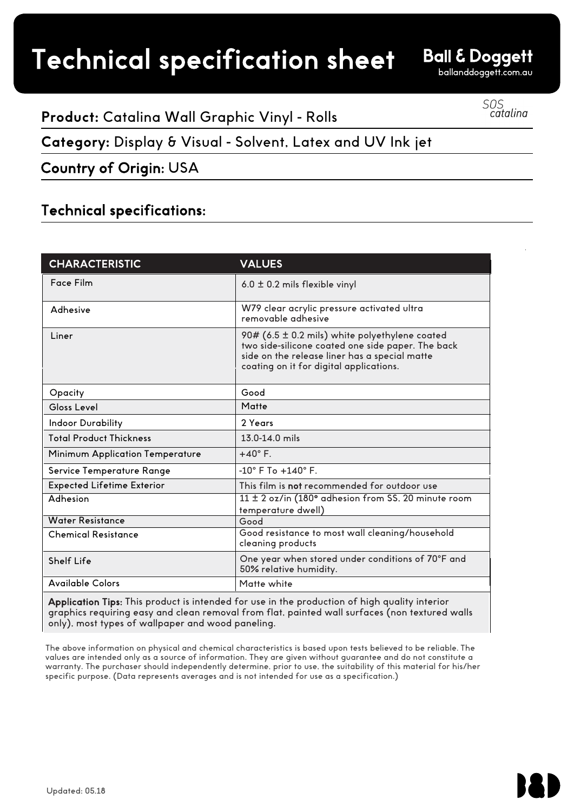# Technical specification sheet

**Ball & Doggett** 

ballanddoggett.com.au

## SOS<br>catalina

### **Product:** Catalina Wall Graphic Vinyl - Rolls

## **Category:** Display & Visual - Solvent, Latex and UV Ink jet

Country of Origin: USA

#### Technical specifications:

| <b>CHARACTERISTIC</b>             | <b>VALUES</b>                                                                                                                                                                                   |
|-----------------------------------|-------------------------------------------------------------------------------------------------------------------------------------------------------------------------------------------------|
| Face Film                         | 6.0 $\pm$ 0.2 mils flexible vinyl                                                                                                                                                               |
| Adhesive                          | W79 clear acrylic pressure activated ultra<br>removable adhesive                                                                                                                                |
| l iner                            | 90# (6.5 ± 0.2 mils) white polyethylene coated<br>two side-silicone coated one side paper. The back<br>side on the release liner has a special matte<br>coating on it for digital applications. |
| Opacity                           | Good                                                                                                                                                                                            |
| Gloss Level                       | Matte                                                                                                                                                                                           |
| <b>Indoor Durability</b>          | 2 Years                                                                                                                                                                                         |
| <b>Total Product Thickness</b>    | 13.0-14.0 mils                                                                                                                                                                                  |
| Minimum Application Temperature   | $+40^\circ$ F.                                                                                                                                                                                  |
| Service Temperature Range         | $-10^{\circ}$ F To $+140^{\circ}$ F                                                                                                                                                             |
| <b>Expected Lifetime Exterior</b> | This film is not recommended for outdoor use                                                                                                                                                    |
| Adhesion                          | 11 ± 2 oz/in (180° adhesion from SS, 20 minute room<br>temperature dwell)                                                                                                                       |
| <b>Water Resistance</b>           | Good                                                                                                                                                                                            |
| <b>Chemical Resistance</b>        | Good resistance to most wall cleaning/household<br>cleaning products                                                                                                                            |
| Shelf Life                        | One year when stored under conditions of 70°F and<br>50% relative humidity.                                                                                                                     |
| <b>Available Colors</b>           | Matte white                                                                                                                                                                                     |

Application Tips: This product is intended for use in the production of high quality interior graphics requiring easy and clean removal from flat, painted wall surfaces (non textured walls only), most types of wallpaper and wood paneling.

The above information on physical and chemical characteristics is based upon tests believed to be reliable. The values are intended only as a source of information. They are given without guarantee and do not constitute a warranty. The purchaser should independently determine, prior to use, the suitability of this material for his/her specific purpose. (Data represents averages and is not intended for use as a specification.)